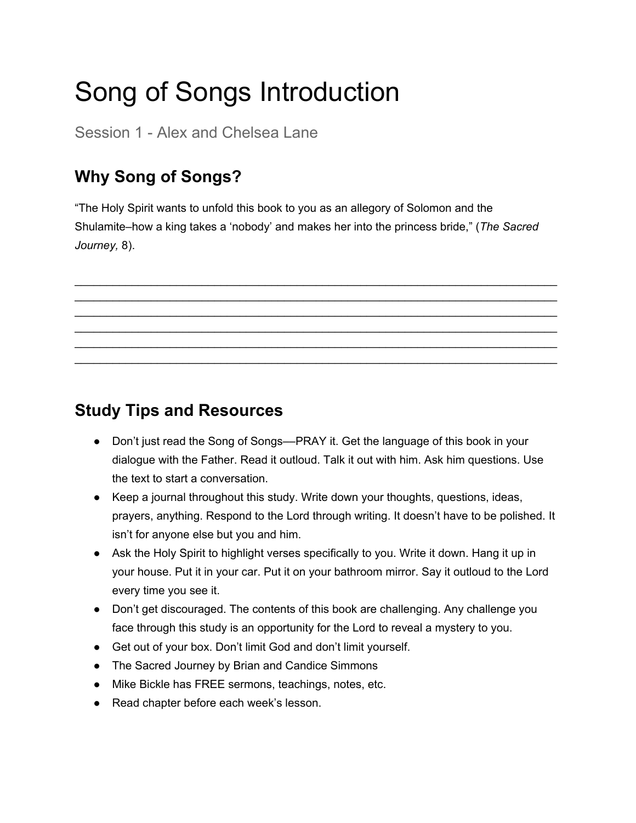# Song of Songs Introduction

Session 1 - Alex and Chelsea Lane

# **Why Song of Songs?**

"The Holy Spirit wants to unfold this book to you as an allegory of Solomon and the Shulamite–how a king takes a 'nobody' and makes her into the princess bride," (*The Sacred Journey,* 8).

\_\_\_\_\_\_\_\_\_\_\_\_\_\_\_\_\_\_\_\_\_\_\_\_\_\_\_\_\_\_\_\_\_\_\_\_\_\_\_\_\_\_\_\_\_\_\_\_\_\_\_\_\_\_\_\_\_\_\_\_\_\_\_\_\_\_\_\_\_\_\_\_\_\_\_\_ \_\_\_\_\_\_\_\_\_\_\_\_\_\_\_\_\_\_\_\_\_\_\_\_\_\_\_\_\_\_\_\_\_\_\_\_\_\_\_\_\_\_\_\_\_\_\_\_\_\_\_\_\_\_\_\_\_\_\_\_\_\_\_\_\_\_\_\_\_\_\_\_\_\_\_\_ \_\_\_\_\_\_\_\_\_\_\_\_\_\_\_\_\_\_\_\_\_\_\_\_\_\_\_\_\_\_\_\_\_\_\_\_\_\_\_\_\_\_\_\_\_\_\_\_\_\_\_\_\_\_\_\_\_\_\_\_\_\_\_\_\_\_\_\_\_\_\_\_\_\_\_\_ \_\_\_\_\_\_\_\_\_\_\_\_\_\_\_\_\_\_\_\_\_\_\_\_\_\_\_\_\_\_\_\_\_\_\_\_\_\_\_\_\_\_\_\_\_\_\_\_\_\_\_\_\_\_\_\_\_\_\_\_\_\_\_\_\_\_\_\_\_\_\_\_\_\_\_\_ \_\_\_\_\_\_\_\_\_\_\_\_\_\_\_\_\_\_\_\_\_\_\_\_\_\_\_\_\_\_\_\_\_\_\_\_\_\_\_\_\_\_\_\_\_\_\_\_\_\_\_\_\_\_\_\_\_\_\_\_\_\_\_\_\_\_\_\_\_\_\_\_\_\_\_\_ \_\_\_\_\_\_\_\_\_\_\_\_\_\_\_\_\_\_\_\_\_\_\_\_\_\_\_\_\_\_\_\_\_\_\_\_\_\_\_\_\_\_\_\_\_\_\_\_\_\_\_\_\_\_\_\_\_\_\_\_\_\_\_\_\_\_\_\_\_\_\_\_\_\_\_\_

#### **Study Tips and Resources**

- Don't just read the Song of Songs—PRAY it. Get the language of this book in your dialogue with the Father. Read it outloud. Talk it out with him. Ask him questions. Use the text to start a conversation.
- Keep a journal throughout this study. Write down your thoughts, questions, ideas, prayers, anything. Respond to the Lord through writing. It doesn't have to be polished. It isn't for anyone else but you and him.
- Ask the Holy Spirit to highlight verses specifically to you. Write it down. Hang it up in your house. Put it in your car. Put it on your bathroom mirror. Say it outloud to the Lord every time you see it.
- Don't get discouraged. The contents of this book are challenging. Any challenge you face through this study is an opportunity for the Lord to reveal a mystery to you.
- Get out of your box. Don't limit God and don't limit yourself.
- The Sacred Journey by Brian and Candice Simmons
- Mike Bickle has FREE sermons, teachings, notes, etc.
- Read chapter before each week's lesson.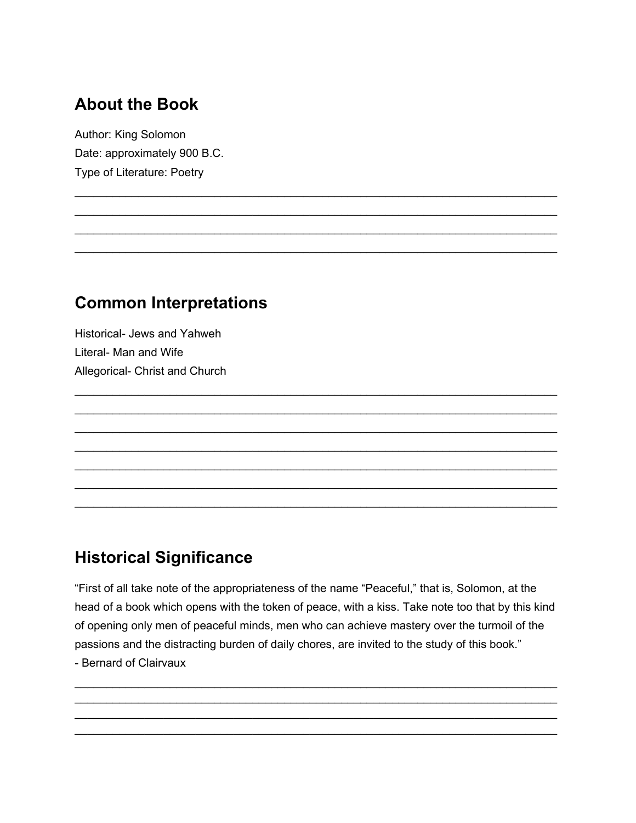## **About the Book**

Author: King Solomon Date: approximately 900 B.C. Type of Literature: Poetry

#### **Common Interpretations**

Historical- Jews and Yahweh Literal- Man and Wife Allegorical- Christ and Church

## **Historical Significance**

"First of all take note of the appropriateness of the name "Peaceful," that is, Solomon, at the head of a book which opens with the token of peace, with a kiss. Take note too that by this kind of opening only men of peaceful minds, men who can achieve mastery over the turmoil of the passions and the distracting burden of daily chores, are invited to the study of this book." - Bernard of Clairvaux